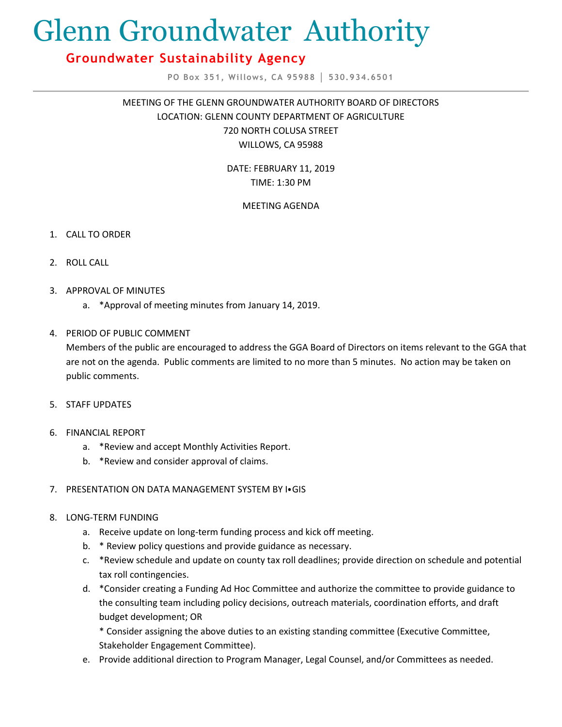# Glenn Groundwater Authority

# **Groundwater Sustainability Agency**

**PO Box 351, Willows, CA 95988 │ 530.934.6501**

MEETING OF THE GLENN GROUNDWATER AUTHORITY BOARD OF DIRECTORS LOCATION: GLENN COUNTY DEPARTMENT OF AGRICULTURE 720 NORTH COLUSA STREET WILLOWS, CA 95988

> DATE: FEBRUARY 11, 2019 TIME: 1:30 PM

# MEETING AGENDA

- 1. CALL TO ORDER
- 2. ROLL CALL
- 3. APPROVAL OF MINUTES
	- a. \*Approval of meeting minutes from January 14, 2019.

# 4. PERIOD OF PUBLIC COMMENT

Members of the public are encouraged to address the GGA Board of Directors on items relevant to the GGA that are not on the agenda. Public comments are limited to no more than 5 minutes. No action may be taken on public comments.

- 5. STAFF UPDATES
- 6. FINANCIAL REPORT
	- a. \*Review and accept Monthly Activities Report.
	- b. \*Review and consider approval of claims.
- 7. PRESENTATION ON DATA MANAGEMENT SYSTEM BY I⦁GIS
- 8. LONG-TERM FUNDING
	- a. Receive update on long-term funding process and kick off meeting.
	- b. \* Review policy questions and provide guidance as necessary.
	- c. \*Review schedule and update on county tax roll deadlines; provide direction on schedule and potential tax roll contingencies.
	- d. \*Consider creating a Funding Ad Hoc Committee and authorize the committee to provide guidance to the consulting team including policy decisions, outreach materials, coordination efforts, and draft budget development; OR

\* Consider assigning the above duties to an existing standing committee (Executive Committee, Stakeholder Engagement Committee).

e. Provide additional direction to Program Manager, Legal Counsel, and/or Committees as needed.